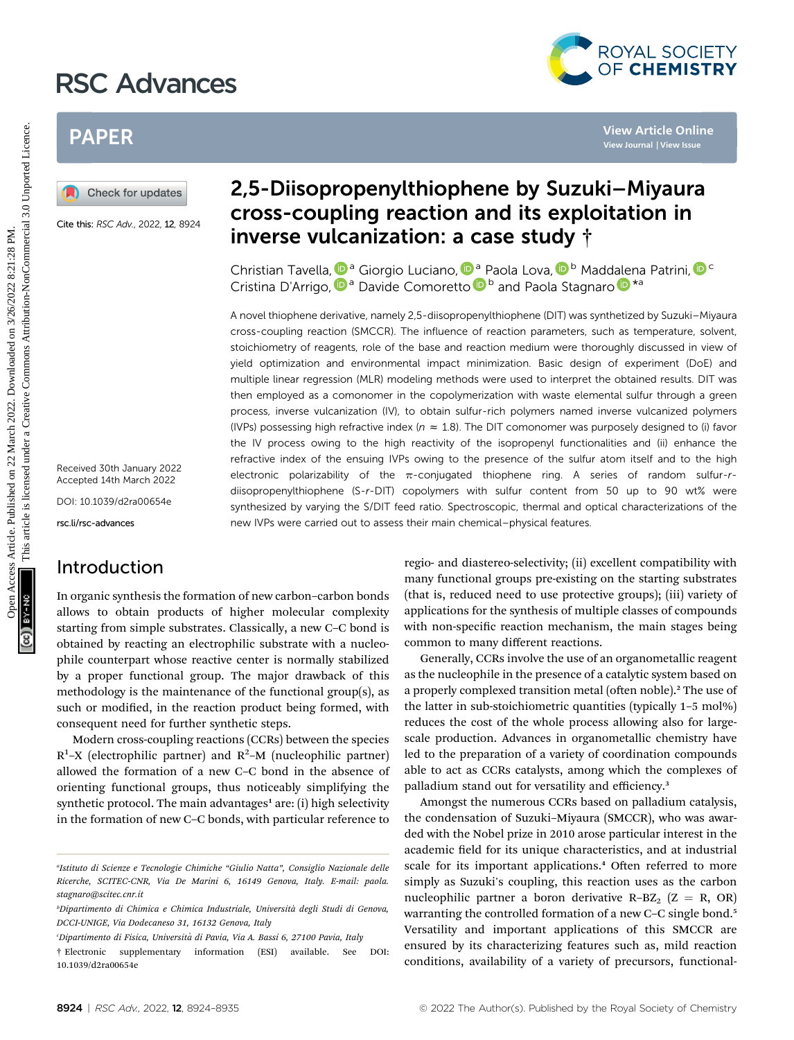# RSC Advances



## PAPER

Cite this: RSC Adv., 2022, 12, 8924

Received 30th January 2022 Accepted 14th March 2022 DOI: 10.1039/d2ra00654e

rsc.li/rsc-advances

### Introduction

In organic synthesis the formation of new carbon–carbon bonds allows to obtain products of higher molecular complexity starting from simple substrates. Classically, a new C–C bond is obtained by reacting an electrophilic substrate with a nucleophile counterpart whose reactive center is normally stabilized by a proper functional group. The major drawback of this methodology is the maintenance of the functional group(s), as such or modified, in the reaction product being formed, with consequent need for further synthetic steps.

Modern cross-coupling reactions (CCRs) between the species  $R^1$ -X (electrophilic partner) and  $R^2$ -M (nucleophilic partner) allowed the formation of a new C–C bond in the absence of orienting functional groups, thus noticeably simplifying the synthetic protocol. The main advantages<sup>1</sup> are: (i) high selectivity in the formation of new C–C bonds, with particular reference to

## 2,5-Diisopropenylthiophene by Suzuki–Miyaura cross-coupling reaction and its exploitation in inverse vulcanization: a case study †

Christian Tavella[,](http://orcid.org/0000-0003-3559-1384) <sup>Da</sup> Giorgio Luciano, D<sup>a</sup> Paola Lova, D<sup>b</sup> Maddalena Patrini, D<sup>c</sup> Cristina D'Arrig[o](http://orcid.org/0000-0003-3437-1435), **D**<sup>a</sup> Davide Comoretto **D**<sup>b</sup> and Paola Stagnaro **D**<sup>\*a</sup>

A novel thiophene derivative, namely 2,5-diisopropenylthiophene (DIT) was synthetized by Suzuki–Miyaura cross-coupling reaction (SMCCR). The influence of reaction parameters, such as temperature, solvent, stoichiometry of reagents, role of the base and reaction medium were thoroughly discussed in view of yield optimization and environmental impact minimization. Basic design of experiment (DoE) and multiple linear regression (MLR) modeling methods were used to interpret the obtained results. DIT was then employed as a comonomer in the copolymerization with waste elemental sulfur through a green process, inverse vulcanization (IV), to obtain sulfur-rich polymers named inverse vulcanized polymers (IVPs) possessing high refractive index ( $n \approx 1.8$ ). The DIT comonomer was purposely designed to (i) favor the IV process owing to the high reactivity of the isopropenyl functionalities and (ii) enhance the refractive index of the ensuing IVPs owing to the presence of the sulfur atom itself and to the high electronic polarizability of the  $\pi$ -conjugated thiophene ring. A series of random sulfur-rdiisopropenylthiophene (S-r-DIT) copolymers with sulfur content from 50 up to 90 wt% were synthesized by varying the S/DIT feed ratio. Spectroscopic, thermal and optical characterizations of the new IVPs were carried out to assess their main chemical–physical features. **PAPER**<br> **EXERCTS 2022 2024**<br> **CONSISIONS ARE CONSISTENT (DESCRIPS)**<br>
CONSISTED **CONSISTENT CONSISTENT AND CONSISTENT AND CONSISTENT AND CONSISTENT AND CONSISTENT AND CONSISTENT AND CONSISTENT AND CONSISTENT CONSISTENT AN** 

regio- and diastereo-selectivity; (ii) excellent compatibility with many functional groups pre-existing on the starting substrates (that is, reduced need to use protective groups); (iii) variety of applications for the synthesis of multiple classes of compounds with non-specific reaction mechanism, the main stages being common to many different reactions.

Generally, CCRs involve the use of an organometallic reagent as the nucleophile in the presence of a catalytic system based on a properly complexed transition metal (often noble).<sup>2</sup> The use of the latter in sub-stoichiometric quantities (typically 1–5 mol%) reduces the cost of the whole process allowing also for largescale production. Advances in organometallic chemistry have led to the preparation of a variety of coordination compounds able to act as CCRs catalysts, among which the complexes of palladium stand out for versatility and efficiency.<sup>3</sup>

Amongst the numerous CCRs based on palladium catalysis, the condensation of Suzuki–Miyaura (SMCCR), who was awarded with the Nobel prize in 2010 arose particular interest in the academic field for its unique characteristics, and at industrial scale for its important applications.<sup>4</sup> Often referred to more simply as Suzuki's coupling, this reaction uses as the carbon nucleophilic partner a boron derivative R–BZ<sub>2</sub> ( $Z = R$ , OR) warranting the controlled formation of a new C–C single bond.<sup>5</sup> Versatility and important applications of this SMCCR are ensured by its characterizing features such as, mild reaction conditions, availability of a variety of precursors, functional-

a Istituto di Scienze e Tecnologie Chimiche "Giulio Natta", Consiglio Nazionale delle Ricerche, SCITEC-CNR, Via De Marini 6, 16149 Genova, Italy. E-mail: paola. stagnaro@scitec.cnr.it

<sup>&</sup>lt;sup>b</sup>Dipartimento di Chimica e Chimica Industriale, Università degli Studi di Genova, DCCI-UNIGE, Via Dodecaneso 31, 16132 Genova, Italy

c Dipartimento di Fisica, Universita di Pavia, Via A. Bassi 6, 27100 Pavia, Italy `

<sup>†</sup> Electronic supplementary information (ESI) available. See DOI: 10.1039/d2ra00654e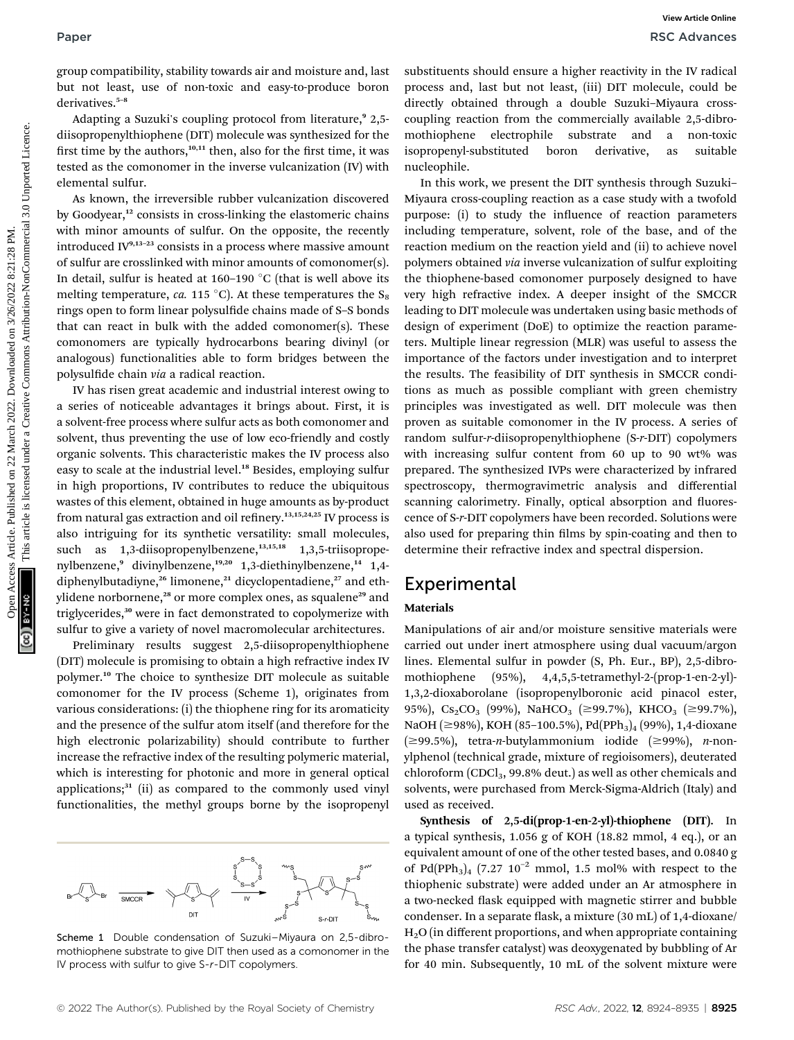group compatibility, stability towards air and moisture and, last but not least, use of non-toxic and easy-to-produce boron derivatives.<sup>5-8</sup>

Adapting a Suzuki's coupling protocol from literature,<sup>9</sup> 2,5diisopropenylthiophene (DIT) molecule was synthesized for the first time by the authors,<sup>10,11</sup> then, also for the first time, it was tested as the comonomer in the inverse vulcanization (IV) with elemental sulfur.

As known, the irreversible rubber vulcanization discovered by Goodyear,<sup>12</sup> consists in cross-linking the elastomeric chains with minor amounts of sulfur. On the opposite, the recently introduced IV9,13–<sup>23</sup> consists in a process where massive amount of sulfur are crosslinked with minor amounts of comonomer(s). In detail, sulfur is heated at 160–190  $^{\circ} \mathrm{C}$  (that is well above its melting temperature, *ca.* 115 °C). At these temperatures the  $\mathrm{S}_8$ rings open to form linear polysulfide chains made of S-S bonds that can react in bulk with the added comonomer(s). These comonomers are typically hydrocarbons bearing divinyl (or analogous) functionalities able to form bridges between the polysulfide chain via a radical reaction.

IV has risen great academic and industrial interest owing to a series of noticeable advantages it brings about. First, it is a solvent-free process where sulfur acts as both comonomer and solvent, thus preventing the use of low eco-friendly and costly organic solvents. This characteristic makes the IV process also easy to scale at the industrial level.<sup>18</sup> Besides, employing sulfur in high proportions, IV contributes to reduce the ubiquitous wastes of this element, obtained in huge amounts as by-product from natural gas extraction and oil refinery.<sup>13,15,24,25</sup> IV process is also intriguing for its synthetic versatility: small molecules, such as  $1,3$ -diisopropenylbenzene, $1,3,5,18$   $1,3,5$ -triisopropenylbenzene,<sup>9</sup> divinylbenzene,<sup>19,20</sup> 1,3-diethinylbenzene,<sup>14</sup> 1,4diphenylbutadiyne,<sup>26</sup> limonene,<sup>21</sup> dicyclopentadiene,<sup>27</sup> and ethylidene norbornene,<sup>28</sup> or more complex ones, as squalene<sup>29</sup> and triglycerides,<sup>30</sup> were in fact demonstrated to copolymerize with sulfur to give a variety of novel macromolecular architectures.

Preliminary results suggest 2,5-diisopropenylthiophene (DIT) molecule is promising to obtain a high refractive index IV polymer.<sup>10</sup> The choice to synthesize DIT molecule as suitable comonomer for the IV process (Scheme 1), originates from various considerations: (i) the thiophene ring for its aromaticity and the presence of the sulfur atom itself (and therefore for the high electronic polarizability) should contribute to further increase the refractive index of the resulting polymeric material, which is interesting for photonic and more in general optical applications; $31$  (ii) as compared to the commonly used vinyl functionalities, the methyl groups borne by the isopropenyl



Scheme 1 Double condensation of Suzuki–Miyaura on 2,5-dibromothiophene substrate to give DIT then used as a comonomer in the IV process with sulfur to give S-r-DIT copolymers.

substituents should ensure a higher reactivity in the IV radical process and, last but not least, (iii) DIT molecule, could be directly obtained through a double Suzuki–Miyaura crosscoupling reaction from the commercially available 2,5-dibromothiophene electrophile substrate and a non-toxic isopropenyl-substituted boron derivative, as suitable nucleophile.

In this work, we present the DIT synthesis through Suzuki– Miyaura cross-coupling reaction as a case study with a twofold purpose: (i) to study the influence of reaction parameters including temperature, solvent, role of the base, and of the reaction medium on the reaction yield and (ii) to achieve novel polymers obtained via inverse vulcanization of sulfur exploiting the thiophene-based comonomer purposely designed to have very high refractive index. A deeper insight of the SMCCR leading to DIT molecule was undertaken using basic methods of design of experiment (DoE) to optimize the reaction parameters. Multiple linear regression (MLR) was useful to assess the importance of the factors under investigation and to interpret the results. The feasibility of DIT synthesis in SMCCR conditions as much as possible compliant with green chemistry principles was investigated as well. DIT molecule was then proven as suitable comonomer in the IV process. A series of random sulfur-r-diisopropenylthiophene (S-r-DIT) copolymers with increasing sulfur content from 60 up to 90 wt% was prepared. The synthesized IVPs were characterized by infrared spectroscopy, thermogravimetric analysis and differential scanning calorimetry. Finally, optical absorption and fluorescence of S-r-DIT copolymers have been recorded. Solutions were also used for preparing thin films by spin-coating and then to determine their refractive index and spectral dispersion. Paper<br>
Paper Moontmann High constant and moisture and moisture for any there are the bar ture is capable and the ture of the state of the state of the state of the state of the state of the state on 22 March 2022. This are

### **Experimental**

### Materials

Manipulations of air and/or moisture sensitive materials were carried out under inert atmosphere using dual vacuum/argon lines. Elemental sulfur in powder (S, Ph. Eur., BP), 2,5-dibromothiophene (95%), 4,4,5,5-tetramethyl-2-(prop-1-en-2-yl)- 1,3,2-dioxaborolane (isopropenylboronic acid pinacol ester, 95%), Cs<sub>2</sub>CO<sub>3</sub> (99%), NaHCO<sub>3</sub> ( $\geq$ 99.7%), KHCO<sub>3</sub> ( $\geq$ 99.7%), NaOH ( $\geq$ 98%), KOH (85-100.5%), Pd(PPh<sub>3</sub>)<sub>4</sub> (99%), 1,4-dioxane  $(\geq 99.5\%)$ , tetra-*n*-butylammonium iodide ( $\geq 99\%$ ), *n*-nonylphenol (technical grade, mixture of regioisomers), deuterated chloroform (CDCl<sub>3</sub>, 99.8% deut.) as well as other chemicals and solvents, were purchased from Merck-Sigma-Aldrich (Italy) and used as received.

Synthesis of 2,5-di(prop-1-en-2-yl)-thiophene (DIT). In a typical synthesis, 1.056 g of KOH (18.82 mmol, 4 eq.), or an equivalent amount of one of the other tested bases, and 0.0840 g of Pd(PPh<sub>3</sub>)<sub>4</sub> (7.27 10<sup>-2</sup> mmol, 1.5 mol% with respect to the thiophenic substrate) were added under an Ar atmosphere in a two-necked flask equipped with magnetic stirrer and bubble condenser. In a separate flask, a mixture (30 mL) of 1,4-dioxane/ H2O (in different proportions, and when appropriate containing the phase transfer catalyst) was deoxygenated by bubbling of Ar for 40 min. Subsequently, 10 mL of the solvent mixture were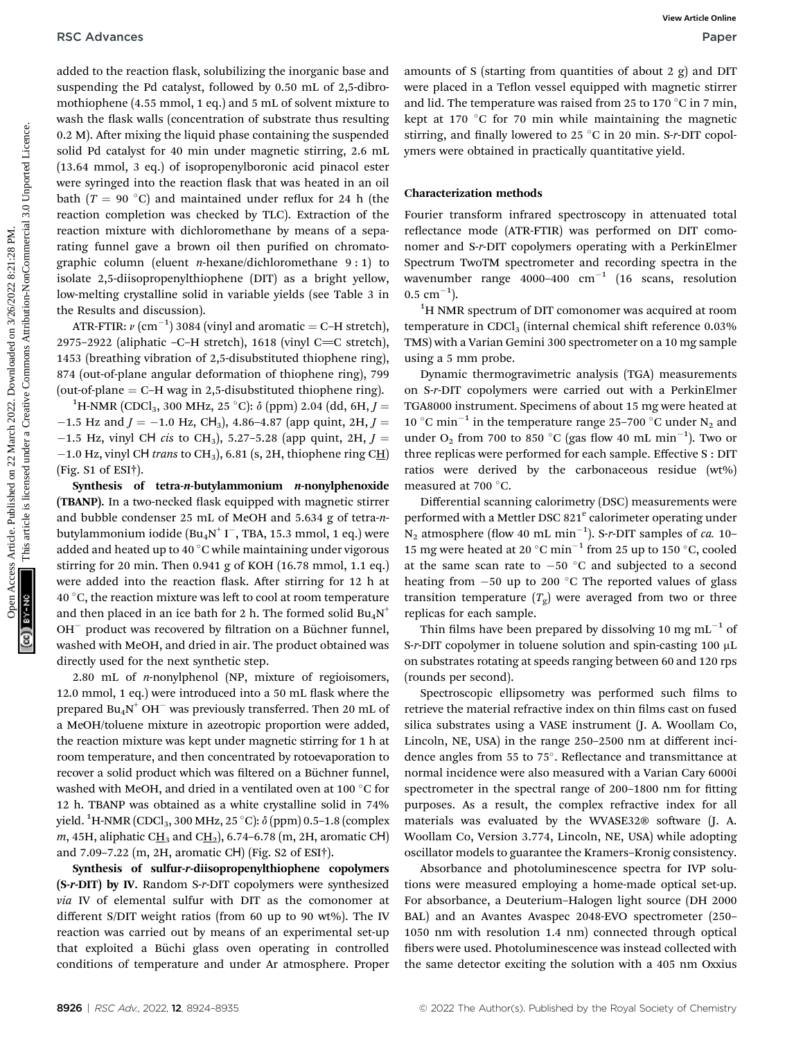added to the reaction flask, solubilizing the inorganic base and suspending the Pd catalyst, followed by 0.50 mL of 2,5-dibromothiophene (4.55 mmol, 1 eq.) and 5 mL of solvent mixture to wash the flask walls (concentration of substrate thus resulting  $0.2$  M). After mixing the liquid phase containing the suspended solid Pd catalyst for 40 min under magnetic stirring, 2.6 mL (13.64 mmol, 3 eq.) of isopropenylboronic acid pinacol ester were syringed into the reaction flask that was heated in an oil bath  $(T = 90 °C)$  and maintained under reflux for 24 h (the reaction completion was checked by TLC). Extraction of the reaction mixture with dichloromethane by means of a separating funnel gave a brown oil then purified on chromatographic column (eluent *n*-hexane/dichloromethane  $9:1$ ) to isolate 2,5-diisopropenylthiophene (DIT) as a bright yellow, low-melting crystalline solid in variable yields (see Table 3 in the Results and discussion). RSC Advances Controllers Articles. Architecture of the competent of the competent of the competent of the competent of the state of the creative Commons Article is likely the common and the state of the common and the sta

ATR-FTIR:  $\nu$  (cm<sup>-1</sup>) 3084 (vinyl and aromatic = C-H stretch), 2975–2922 (aliphatic –C–H stretch), 1618 (vinyl C $=$ C stretch), 1453 (breathing vibration of 2,5-disubstituted thiophene ring), 874 (out-of-plane angular deformation of thiophene ring), 799 (out-of-plane  $=$  C–H wag in 2,5-disubstituted thiophene ring).

H-NMR (CDCl<sub>3</sub>, 300 MHz, 25 °C):  $\delta$  (ppm) 2.04 (dd, 6H, J =  $-1.5$  Hz and  $J = -1.0$  Hz, CH<sub>3</sub>), 4.86-4.87 (app quint, 2H,  $J =$  $-1.5$  Hz, vinyl CH cis to CH<sub>3</sub>), 5.27-5.28 (app quint, 2H,  $J =$ -1.0 Hz, vinyl CH trans to CH<sub>3</sub>), 6.81 (s, 2H, thiophene ring CH) (Fig. S1 of ESI†).

Synthesis of tetra-n-butylammonium  $n$ -nonylphenoxide (TBANP). In a two-necked flask equipped with magnetic stirrer and bubble condenser 25 mL of MeOH and 5.634 g of tetra-nbutylammonium iodide  $(\text{Bu}_4\text{N}^+\text{I}^-, \text{TBA}, 15.3 \text{ mmol}, 1 \text{ eq.})$  were added and heated up to 40 °C while maintaining under vigorous stirring for 20 min. Then 0.941 g of KOH (16.78 mmol, 1.1 eq.) were added into the reaction flask. After stirring for 12 h at 40  $^{\circ}$ C, the reaction mixture was left to cool at room temperature and then placed in an ice bath for 2 h. The formed solid  $Bu_4N^+$  $OH^-$  product was recovered by filtration on a Büchner funnel, washed with MeOH, and dried in air. The product obtained was directly used for the next synthetic step.

2.80 mL of n-nonylphenol (NP, mixture of regioisomers, 12.0 mmol, 1 eq.) were introduced into a 50 mL flask where the prepared  $Bu_4N^*OH^-$  was previously transferred. Then 20 mL of a MeOH/toluene mixture in azeotropic proportion were added, the reaction mixture was kept under magnetic stirring for 1 h at room temperature, and then concentrated by rotoevaporation to recover a solid product which was filtered on a Büchner funnel, washed with MeOH, and dried in a ventilated oven at 100  $^{\circ}\mathrm{C}$  for 12 h. TBANP was obtained as a white crystalline solid in 74% yield.  $^{1}$ H-NMR (CDCl $_{3}$ , 300 MHz, 25 °C):  $\delta$  (ppm) 0.5–1.8 (complex m, 45H, aliphatic C $\underline{H}_3$  and C $\underline{H}_2$ ), 6.74–6.78 (m, 2H, aromatic CH) and 7.09–7.22 (m, 2H, aromatic CH) (Fig. S2 of ESI†).

Synthesis of sulfur-r-diisopropenylthiophene copolymers (S-r-DIT) by IV. Random S-r-DIT copolymers were synthesized via IV of elemental sulfur with DIT as the comonomer at different S/DIT weight ratios (from 60 up to 90 wt%). The IV reaction was carried out by means of an experimental set-up that exploited a Büchi glass oven operating in controlled conditions of temperature and under Ar atmosphere. Proper

amounts of S (starting from quantities of about 2 g) and DIT were placed in a Teflon vessel equipped with magnetic stirrer and lid. The temperature was raised from 25 to 170  $^{\circ}{\rm C}$  in 7 min, kept at 170  $^{\circ} \mathrm{C}$  for 70 min while maintaining the magnetic stirring, and finally lowered to 25 °C in 20 min. S-r-DIT copolymers were obtained in practically quantitative yield.

### Characterization methods

Fourier transform infrared spectroscopy in attenuated total reflectance mode (ATR-FTIR) was performed on DIT comonomer and S-r-DIT copolymers operating with a PerkinElmer Spectrum TwoTM spectrometer and recording spectra in the wavenumber range 4000-400  $cm^{-1}$  (16 scans, resolution  $0.5 \text{ cm}^{-1}$ ).

<sup>1</sup>H NMR spectrum of DIT comonomer was acquired at room temperature in  $CDCl<sub>3</sub>$  (internal chemical shift reference 0.03%) TMS) with a Varian Gemini 300 spectrometer on a 10 mg sample using a 5 mm probe.

Dynamic thermogravimetric analysis (TGA) measurements on S-r-DIT copolymers were carried out with a PerkinElmer TGA8000 instrument. Specimens of about 15 mg were heated at 10 °C min<sup>-1</sup> in the temperature range 25-700 °C under N<sub>2</sub> and under  $O_2$  from 700 to 850 °C (gas flow 40 mL min<sup>-1</sup>). Two or three replicas were performed for each sample. Effective S : DIT ratios were derived by the carbonaceous residue (wt%) measured at 700  $^{\circ}$ C.

Differential scanning calorimetry (DSC) measurements were performed with a Mettler DSC 821<sup>e</sup> calorimeter operating under  $N_2$  atmosphere (flow 40 mL min<sup>-1</sup>). S-r-DIT samples of *ca*. 10-15 mg were heated at 20  $^{\circ}$ C min<sup>-1</sup> from 25 up to 150  $^{\circ}$ C, cooled at the same scan rate to  $-50$  °C and subjected to a second heating from  $-50$  up to 200 °C The reported values of glass transition temperature  $(T_{g})$  were averaged from two or three replicas for each sample.

Thin films have been prepared by dissolving 10 mg  $mL^{-1}$  of S-r-DIT copolymer in toluene solution and spin-casting 100  $\mu$ L on substrates rotating at speeds ranging between 60 and 120 rps (rounds per second).

Spectroscopic ellipsometry was performed such films to retrieve the material refractive index on thin films cast on fused silica substrates using a VASE instrument (J. A. Woollam Co, Lincoln, NE, USA) in the range 250–2500 nm at different incidence angles from 55 to 75°. Reflectance and transmittance at normal incidence were also measured with a Varian Cary 6000i spectrometer in the spectral range of 200-1800 nm for fitting purposes. As a result, the complex refractive index for all materials was evaluated by the WVASE32® software (J. A. Woollam Co, Version 3.774, Lincoln, NE, USA) while adopting oscillator models to guarantee the Kramers–Kronig consistency.

Absorbance and photoluminescence spectra for IVP solutions were measured employing a home-made optical set-up. For absorbance, a Deuterium–Halogen light source (DH 2000 BAL) and an Avantes Avaspec 2048-EVO spectrometer (250– 1050 nm with resolution 1.4 nm) connected through optical bers were used. Photoluminescence was instead collected with the same detector exciting the solution with a 405 nm Oxxius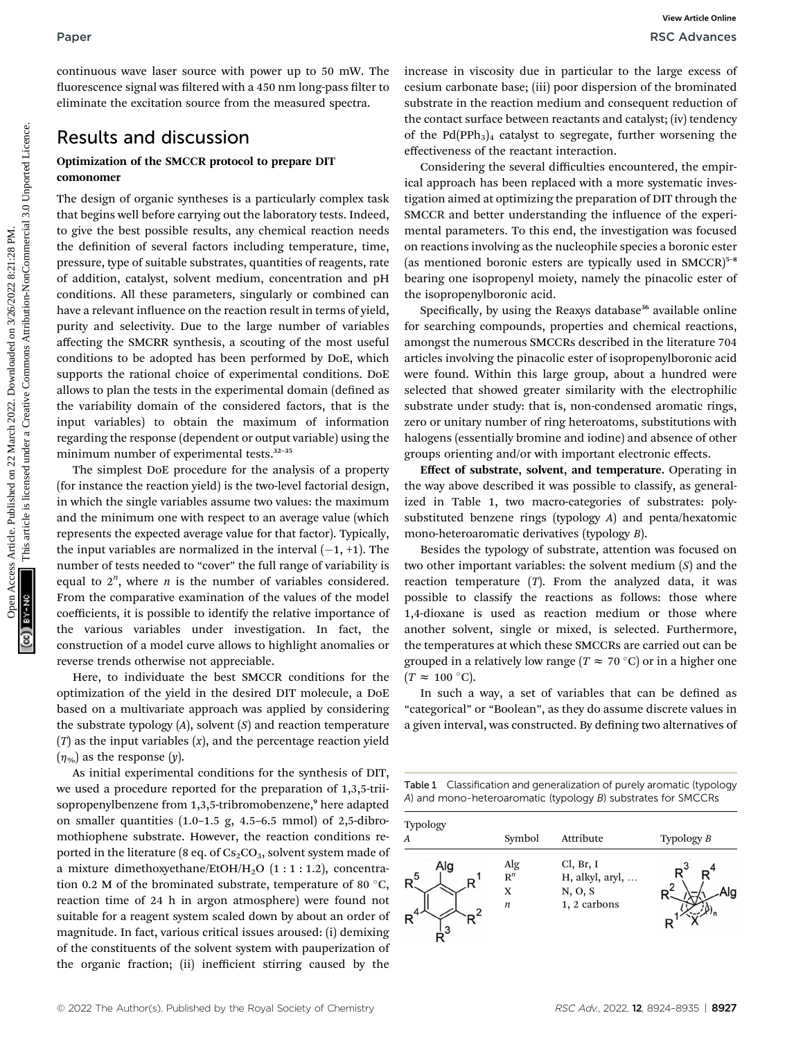### Results and discussion

### Optimization of the SMCCR protocol to prepare DIT comonomer

The design of organic syntheses is a particularly complex task that begins well before carrying out the laboratory tests. Indeed, to give the best possible results, any chemical reaction needs the definition of several factors including temperature, time, pressure, type of suitable substrates, quantities of reagents, rate of addition, catalyst, solvent medium, concentration and pH conditions. All these parameters, singularly or combined can have a relevant influence on the reaction result in terms of yield, purity and selectivity. Due to the large number of variables affecting the SMCRR synthesis, a scouting of the most useful conditions to be adopted has been performed by DoE, which supports the rational choice of experimental conditions. DoE allows to plan the tests in the experimental domain (defined as the variability domain of the considered factors, that is the input variables) to obtain the maximum of information regarding the response (dependent or output variable) using the minimum number of experimental tests.<sup>32-35</sup> Paper<br>
Considerate solar solar solar solar solar solar solar solar solar solar solar solar solar solar solar solar solar solar solar solar solar solar solar solar solar solar solar solar solar solar solar solar solar solar

The simplest DoE procedure for the analysis of a property (for instance the reaction yield) is the two-level factorial design, in which the single variables assume two values: the maximum and the minimum one with respect to an average value (which represents the expected average value for that factor). Typically, the input variables are normalized in the interval  $(-1, +1)$ . The number of tests needed to "cover" the full range of variability is equal to  $2^n$ , where *n* is the number of variables considered. From the comparative examination of the values of the model coefficients, it is possible to identify the relative importance of the various variables under investigation. In fact, the construction of a model curve allows to highlight anomalies or reverse trends otherwise not appreciable.

Here, to individuate the best SMCCR conditions for the optimization of the yield in the desired DIT molecule, a DoE based on a multivariate approach was applied by considering the substrate typology  $(A)$ , solvent  $(S)$  and reaction temperature  $(T)$  as the input variables  $(x)$ , and the percentage reaction yield  $(\eta_{\%})$  as the response (y).

As initial experimental conditions for the synthesis of DIT, we used a procedure reported for the preparation of 1,3,5-triisopropenylbenzene from 1,3,5-tribromobenzene,<sup>9</sup> here adapted on smaller quantities  $(1.0-1.5 \text{ g}, 4.5-6.5 \text{ mmol})$  of 2,5-dibromothiophene substrate. However, the reaction conditions reported in the literature (8 eq. of  $Cs<sub>2</sub>CO<sub>3</sub>$ , solvent system made of a mixture dimethoxyethane/EtOH/H<sub>2</sub>O  $(1:1:1.2)$ , concentration 0.2 M of the brominated substrate, temperature of 80  $^{\circ}{\rm C},$ reaction time of 24 h in argon atmosphere) were found not suitable for a reagent system scaled down by about an order of magnitude. In fact, various critical issues aroused: (i) demixing of the constituents of the solvent system with pauperization of the organic fraction; (ii) inefficient stirring caused by the

increase in viscosity due in particular to the large excess of cesium carbonate base; (iii) poor dispersion of the brominated substrate in the reaction medium and consequent reduction of the contact surface between reactants and catalyst; (iv) tendency of the  $Pd(PPh<sub>3</sub>)<sub>4</sub>$  catalyst to segregate, further worsening the effectiveness of the reactant interaction.

Considering the several difficulties encountered, the empirical approach has been replaced with a more systematic investigation aimed at optimizing the preparation of DIT through the SMCCR and better understanding the influence of the experimental parameters. To this end, the investigation was focused on reactions involving as the nucleophile species a boronic ester (as mentioned boronic esters are typically used in  $SMCCR)^{5-8}$ bearing one isopropenyl moiety, namely the pinacolic ester of the isopropenylboronic acid.

Specifically, by using the Reaxys database<sup>36</sup> available online for searching compounds, properties and chemical reactions, amongst the numerous SMCCRs described in the literature 704 articles involving the pinacolic ester of isopropenylboronic acid were found. Within this large group, about a hundred were selected that showed greater similarity with the electrophilic substrate under study: that is, non-condensed aromatic rings, zero or unitary number of ring heteroatoms, substitutions with halogens (essentially bromine and iodine) and absence of other groups orienting and/or with important electronic effects.

Effect of substrate, solvent, and temperature. Operating in the way above described it was possible to classify, as generalized in Table 1, two macro-categories of substrates: polysubstituted benzene rings (typology A) and penta/hexatomic mono-heteroaromatic derivatives (typology B).

Besides the typology of substrate, attention was focused on two other important variables: the solvent medium  $(S)$  and the reaction temperature  $(T)$ . From the analyzed data, it was possible to classify the reactions as follows: those where 1,4-dioxane is used as reaction medium or those where another solvent, single or mixed, is selected. Furthermore, the temperatures at which these SMCCRs are carried out can be grouped in a relatively low range ( $T\thickapprox$  70 °C) or in a higher one  $(T \approx 100 \text{ °C}).$ 

In such a way, a set of variables that can be defined as "categorical" or "Boolean", as they do assume discrete values in a given interval, was constructed. By defining two alternatives of

| Table 1 Classification and generalization of purely aromatic (typology |
|------------------------------------------------------------------------|
| A) and mono-heteroaromatic (typology B) substrates for SMCCRs          |

| Typology<br>$\boldsymbol{A}$ | Symbol                                           | Attribute                                               | Typology $B$ |
|------------------------------|--------------------------------------------------|---------------------------------------------------------|--------------|
| Alg                          | $\operatorname*{Alg}_{\mathbf{R}^{n}}$<br>X<br>n | Cl, Br, I<br>H, alkyl, aryl,<br>N, O, S<br>1, 2 carbons |              |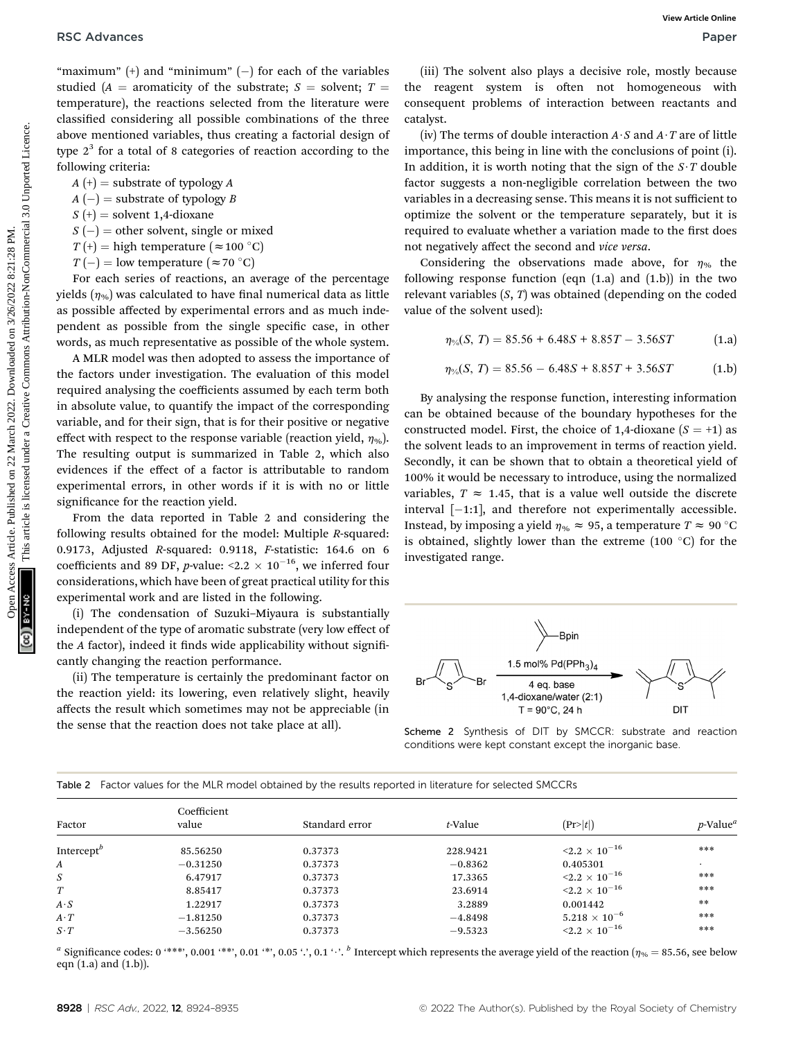"maximum"  $(+)$  and "minimum"  $(-)$  for each of the variables studied (A = aromaticity of the substrate;  $S =$  solvent;  $T =$ temperature), the reactions selected from the literature were classified considering all possible combinations of the three above mentioned variables, thus creating a factorial design of type  $2<sup>3</sup>$  for a total of 8 categories of reaction according to the following criteria:

 $A(t)$  = substrate of typology A

 $A(-)$  = substrate of typology B

 $S$  (+) = solvent 1,4-dioxane

 $S(-)$  = other solvent, single or mixed

 $T\left( +\right) =$  high temperature  $\left( \approx\!100\ {}^{\circ}\mathrm{C} \right)$ 

 $T(-) =$  low temperature  $(\approx 70 \degree \text{C})$ 

For each series of reactions, an average of the percentage yields  $(n_{\infty})$  was calculated to have final numerical data as little as possible affected by experimental errors and as much independent as possible from the single specific case, in other words, as much representative as possible of the whole system.

A MLR model was then adopted to assess the importance of the factors under investigation. The evaluation of this model required analysing the coefficients assumed by each term both in absolute value, to quantify the impact of the corresponding variable, and for their sign, that is for their positive or negative effect with respect to the response variable (reaction yield,  $\eta_{\%}$ ). The resulting output is summarized in Table 2, which also evidences if the effect of a factor is attributable to random experimental errors, in other words if it is with no or little significance for the reaction yield.

From the data reported in Table 2 and considering the following results obtained for the model: Multiple R-squared: 0.9173, Adjusted R-squared: 0.9118, F-statistic: 164.6 on 6 coefficients and 89 DF, p-value:  $\leq 2.2 \times 10^{-16}$ , we inferred four considerations, which have been of great practical utility for this experimental work and are listed in the following.

(i) The condensation of Suzuki–Miyaura is substantially independent of the type of aromatic substrate (very low effect of the A factor), indeed it finds wide applicability without significantly changing the reaction performance.

(ii) The temperature is certainly the predominant factor on the reaction yield: its lowering, even relatively slight, heavily affects the result which sometimes may not be appreciable (in the sense that the reaction does not take place at all).

(iii) The solvent also plays a decisive role, mostly because the reagent system is often not homogeneous with consequent problems of interaction between reactants and catalyst.

(iv) The terms of double interaction  $A \cdot S$  and  $A \cdot T$  are of little importance, this being in line with the conclusions of point (i). In addition, it is worth noting that the sign of the  $S \cdot T$  double factor suggests a non-negligible correlation between the two variables in a decreasing sense. This means it is not sufficient to optimize the solvent or the temperature separately, but it is required to evaluate whether a variation made to the first does not negatively affect the second and vice versa.

Considering the observations made above, for  $\eta_{\%}$  the following response function (eqn  $(1.a)$  and  $(1.b)$ ) in the two relevant variables  $(S, T)$  was obtained (depending on the coded value of the solvent used):

 $\eta_{\text{O}_{\text{A}}}(S, T) = 85.56 + 6.48S + 8.85T - 3.56ST$  (1.a)

$$
\eta_{\%}(S, T) = 85.56 - 6.48S + 8.85T + 3.56ST \tag{1.b}
$$

By analysing the response function, interesting information can be obtained because of the boundary hypotheses for the constructed model. First, the choice of 1,4-dioxane  $(S = +1)$  as the solvent leads to an improvement in terms of reaction yield. Secondly, it can be shown that to obtain a theoretical yield of 100% it would be necessary to introduce, using the normalized variables,  $T \approx 1.45$ , that is a value well outside the discrete interval  $[-1:1]$ , and therefore not experimentally accessible. Instead, by imposing a yield  $\eta_{\%} \approx 95$ , a temperature  $T \approx 90$  °C is obtained, slightly lower than the extreme (100  $^{\circ} \mathrm{C})$  for the investigated range. **PSC** Advances Continuous Constructed on 22 March 2022. The constrained on 22 March 2022 are the systems are the constrained on 22 March 2022. The constrained on 22 March 2022 and the Commons Commons Article is licensed u



Scheme 2 Synthesis of DIT by SMCCR: substrate and reaction conditions were kept constant except the inorganic base.

| Factor                 | Coefficient<br>value | Standard error | t-Value   | (Pr> t )                        | $p$ -Value <sup>a</sup> |
|------------------------|----------------------|----------------|-----------|---------------------------------|-------------------------|
| Intercept <sup>b</sup> | 85.56250             | 0.37373        | 228.9421  | ${<}2.2\times10^{-16}$          | ***                     |
| A                      | $-0.31250$           | 0.37373        | $-0.8362$ | 0.405301                        | $\cdot$                 |
| S                      | 6.47917              | 0.37373        | 17.3365   | $\mathbf{<}2.2 \times 10^{-16}$ | ***                     |
| T                      | 8.85417              | 0.37373        | 23.6914   | $\mathbf{<}2.2 \times 10^{-16}$ | ***                     |
| $A \cdot S$            | 1.22917              | 0.37373        | 3.2889    | 0.001442                        | $**$                    |
| $A \cdot T$            | $-1.81250$           | 0.37373        | $-4.8498$ | $5.218\times10^{-6}$            | ***                     |
| $S\cdot T$             | $-3.56250$           | 0.37373        | $-9.5323$ | ${<}2.2\times10^{-16}$          | ***                     |

Table 2 Factor values for the MLR model obtained by the results reported in literature for selected SMCCRs

<sup>a</sup> Significance codes: 0 '\*\*\*', 0.001 '\*\*', 0.01 '\*', 0.05 '.', 0.1 '.'. <sup>b</sup> Intercept which represents the average yield of the reaction ( $\eta_{96} = 85.56$ , see below eqn  $(1.a)$  and  $(1.b)$ ).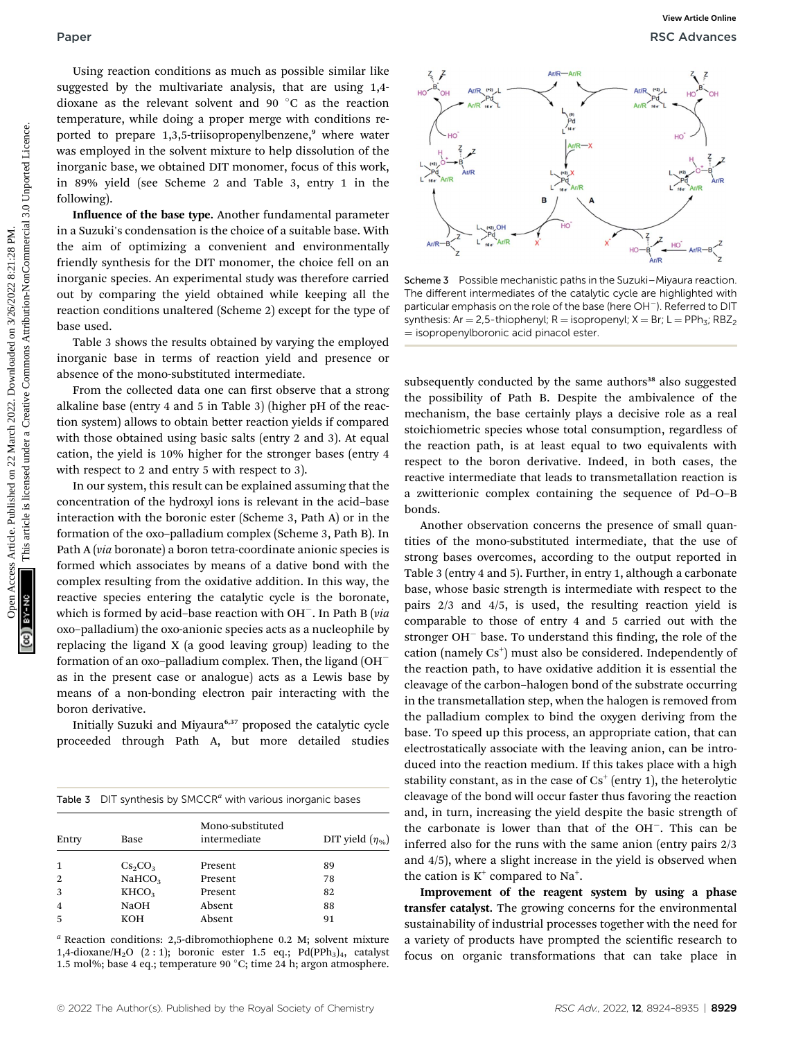Using reaction conditions as much as possible similar like suggested by the multivariate analysis, that are using 1,4 dioxane as the relevant solvent and  $90\,^{\circ}\mathrm{C}$  as the reaction temperature, while doing a proper merge with conditions reported to prepare 1,3,5-triisopropenylbenzene,<sup>9</sup> where water was employed in the solvent mixture to help dissolution of the inorganic base, we obtained DIT monomer, focus of this work, in 89% yield (see Scheme 2 and Table 3, entry 1 in the following).

Influence of the base type. Another fundamental parameter in a Suzuki's condensation is the choice of a suitable base. With the aim of optimizing a convenient and environmentally friendly synthesis for the DIT monomer, the choice fell on an inorganic species. An experimental study was therefore carried out by comparing the yield obtained while keeping all the reaction conditions unaltered (Scheme 2) except for the type of base used.

Table 3 shows the results obtained by varying the employed inorganic base in terms of reaction yield and presence or absence of the mono-substituted intermediate.

From the collected data one can first observe that a strong alkaline base (entry 4 and 5 in Table 3) (higher pH of the reaction system) allows to obtain better reaction yields if compared with those obtained using basic salts (entry 2 and 3). At equal cation, the yield is 10% higher for the stronger bases (entry 4 with respect to 2 and entry 5 with respect to 3).

In our system, this result can be explained assuming that the concentration of the hydroxyl ions is relevant in the acid–base interaction with the boronic ester (Scheme 3, Path A) or in the formation of the oxo–palladium complex (Scheme 3, Path B). In Path A (via boronate) a boron tetra-coordinate anionic species is formed which associates by means of a dative bond with the complex resulting from the oxidative addition. In this way, the reactive species entering the catalytic cycle is the boronate, which is formed by acid–base reaction with  $OH^-$ . In Path B (via oxo–palladium) the oxo-anionic species acts as a nucleophile by replacing the ligand X (a good leaving group) leading to the formation of an oxo–palladium complex. Then, the ligand (OH as in the present case or analogue) acts as a Lewis base by means of a non-bonding electron pair interacting with the boron derivative.

Initially Suzuki and Miyaura<sup>6,37</sup> proposed the catalytic cycle proceeded through Path A, but more detailed studies

|  | Table 3 $\cdot$ DIT synthesis by SMCCR <sup>a</sup> with various inorganic bases |  |  |  |  |
|--|----------------------------------------------------------------------------------|--|--|--|--|
|--|----------------------------------------------------------------------------------|--|--|--|--|

| Entry | Base               | Mono-substituted<br>intermediate | DIT yield $(\eta_{\%})$ |
|-------|--------------------|----------------------------------|-------------------------|
| 1     |                    | Present                          | 89                      |
|       | $Cs_2CO_3$         |                                  |                         |
| 2     | NAHCO <sub>3</sub> | Present                          | 78                      |
| 3     | KHCO <sub>3</sub>  | Present                          | 82                      |
| 4     | <b>NaOH</b>        | Absent                           | 88                      |
| 5     | KOH                | Absent                           | 91                      |
|       |                    |                                  |                         |

 $a$  Reaction conditions: 2,5-dibromothiophene 0.2 M; solvent mixture 1,4-dioxane/H<sub>2</sub>O  $(2:1)$ ; boronic ester 1.5 eq.; Pd(PPh<sub>3</sub>)<sub>4</sub>, catalyst 1.5 mol%; base 4 eq.; temperature 90 °C; time 24 h; argon atmosphere.



Scheme 3 Possible mechanistic paths in the Suzuki–Miyaura reaction. The different intermediates of the catalytic cycle are highlighted with particular emphasis on the role of the base (here OH<sup>-</sup>). Referred to DIT synthesis: Ar = 2,5-thiophenyl; R = isopropenyl; X = Br; L = PPh<sub>3</sub>; RBZ<sub>2</sub>  $=$  isopropenylboronic acid pinacol ester.

subsequently conducted by the same authors<sup>38</sup> also suggested the possibility of Path B. Despite the ambivalence of the mechanism, the base certainly plays a decisive role as a real stoichiometric species whose total consumption, regardless of the reaction path, is at least equal to two equivalents with respect to the boron derivative. Indeed, in both cases, the reactive intermediate that leads to transmetallation reaction is a zwitterionic complex containing the sequence of Pd–O–B bonds.

Another observation concerns the presence of small quantities of the mono-substituted intermediate, that the use of strong bases overcomes, according to the output reported in Table 3 (entry 4 and 5). Further, in entry 1, although a carbonate base, whose basic strength is intermediate with respect to the pairs 2/3 and 4/5, is used, the resulting reaction yield is comparable to those of entry 4 and 5 carried out with the stronger  $OH^-$  base. To understand this finding, the role of the cation (namely Cs<sup>+</sup>) must also be considered. Independently of the reaction path, to have oxidative addition it is essential the cleavage of the carbon–halogen bond of the substrate occurring in the transmetallation step, when the halogen is removed from the palladium complex to bind the oxygen deriving from the base. To speed up this process, an appropriate cation, that can electrostatically associate with the leaving anion, can be introduced into the reaction medium. If this takes place with a high stability constant, as in the case of  $Cs<sup>+</sup>$  (entry 1), the heterolytic cleavage of the bond will occur faster thus favoring the reaction and, in turn, increasing the yield despite the basic strength of the carbonate is lower than that of the  $OH^-$ . This can be inferred also for the runs with the same anion (entry pairs 2/3 and 4/5), where a slight increase in the yield is observed when the cation is  $K^+$  compared to Na<sup>+</sup>.

Improvement of the reagent system by using a phase transfer catalyst. The growing concerns for the environmental sustainability of industrial processes together with the need for a variety of products have prompted the scientific research to focus on organic transformations that can take place in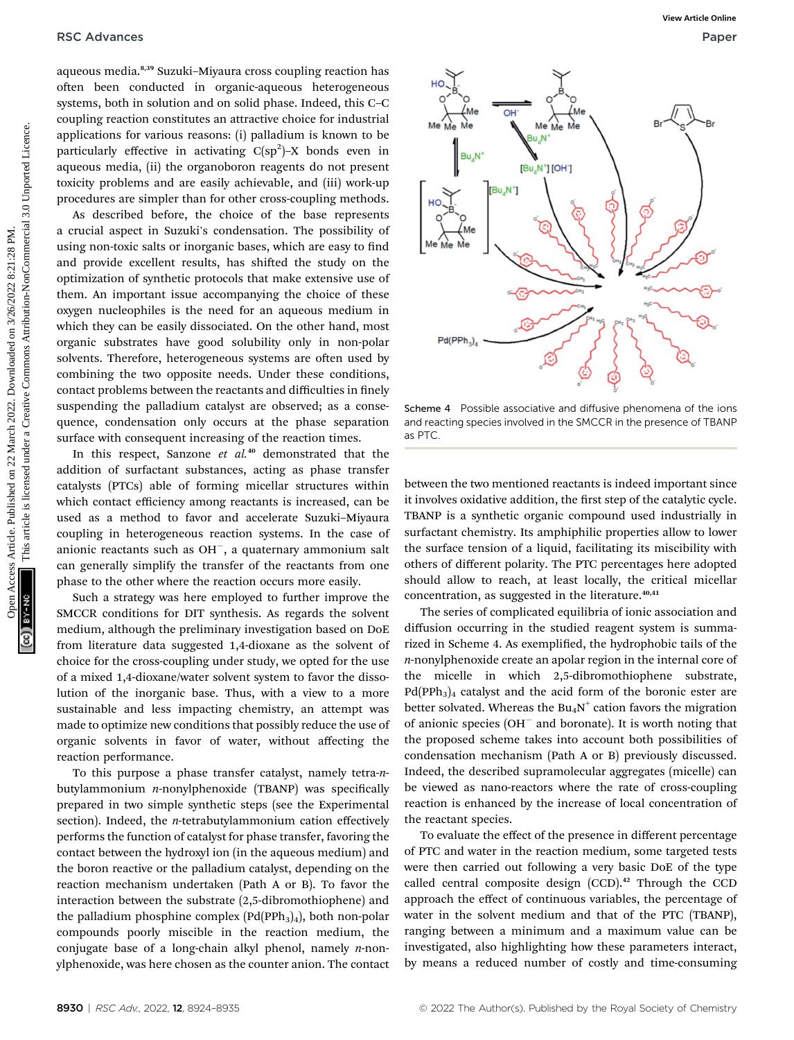aqueous media.8,39 Suzuki–Miyaura cross coupling reaction has often been conducted in organic-aqueous heterogeneous systems, both in solution and on solid phase. Indeed, this C–C coupling reaction constitutes an attractive choice for industrial applications for various reasons: (i) palladium is known to be particularly effective in activating  $C(sp^2)-X$  bonds even in aqueous media, (ii) the organoboron reagents do not present toxicity problems and are easily achievable, and (iii) work-up procedures are simpler than for other cross-coupling methods.

As described before, the choice of the base represents a crucial aspect in Suzuki's condensation. The possibility of using non-toxic salts or inorganic bases, which are easy to find and provide excellent results, has shifted the study on the optimization of synthetic protocols that make extensive use of them. An important issue accompanying the choice of these oxygen nucleophiles is the need for an aqueous medium in which they can be easily dissociated. On the other hand, most organic substrates have good solubility only in non-polar solvents. Therefore, heterogeneous systems are often used by combining the two opposite needs. Under these conditions, contact problems between the reactants and difficulties in finely suspending the palladium catalyst are observed; as a consequence, condensation only occurs at the phase separation surface with consequent increasing of the reaction times.

In this respect, Sanzone  $et$   $al.^{40}$  demonstrated that the addition of surfactant substances, acting as phase transfer catalysts (PTCs) able of forming micellar structures within which contact efficiency among reactants is increased, can be used as a method to favor and accelerate Suzuki–Miyaura coupling in heterogeneous reaction systems. In the case of anionic reactants such as  $OH^-$ , a quaternary ammonium salt can generally simplify the transfer of the reactants from one phase to the other where the reaction occurs more easily.

Such a strategy was here employed to further improve the SMCCR conditions for DIT synthesis. As regards the solvent medium, although the preliminary investigation based on DoE from literature data suggested 1,4-dioxane as the solvent of choice for the cross-coupling under study, we opted for the use of a mixed 1,4-dioxane/water solvent system to favor the dissolution of the inorganic base. Thus, with a view to a more sustainable and less impacting chemistry, an attempt was made to optimize new conditions that possibly reduce the use of organic solvents in favor of water, without affecting the reaction performance.

To this purpose a phase transfer catalyst, namely tetra-nbutylammonium  $n$ -nonylphenoxide (TBANP) was specifically prepared in two simple synthetic steps (see the Experimental section). Indeed, the *n*-tetrabutylammonium cation effectively performs the function of catalyst for phase transfer, favoring the contact between the hydroxyl ion (in the aqueous medium) and the boron reactive or the palladium catalyst, depending on the reaction mechanism undertaken (Path A or B). To favor the interaction between the substrate (2,5-dibromothiophene) and the palladium phosphine complex  $(Pd(PPh<sub>3</sub>)<sub>4</sub>)$ , both non-polar compounds poorly miscible in the reaction medium, the conjugate base of a long-chain alkyl phenol, namely  $n$ -nonylphenoxide, was here chosen as the counter anion. The contact



Scheme 4 Possible associative and diffusive phenomena of the ions and reacting species involved in the SMCCR in the presence of TBANP as PTC.

between the two mentioned reactants is indeed important since it involves oxidative addition, the first step of the catalytic cycle. TBANP is a synthetic organic compound used industrially in surfactant chemistry. Its amphiphilic properties allow to lower the surface tension of a liquid, facilitating its miscibility with others of different polarity. The PTC percentages here adopted should allow to reach, at least locally, the critical micellar concentration, as suggested in the literature. $40,41$ 

The series of complicated equilibria of ionic association and diffusion occurring in the studied reagent system is summarized in Scheme 4. As exemplified, the hydrophobic tails of the n-nonylphenoxide create an apolar region in the internal core of the micelle in which 2,5-dibromothiophene substrate,  $Pd(PPh<sub>3</sub>)<sub>4</sub>$  catalyst and the acid form of the boronic ester are better solvated. Whereas the  $Bu_4N^+$  cation favors the migration of anionic species  $(OH<sup>-</sup>$  and boronate). It is worth noting that the proposed scheme takes into account both possibilities of condensation mechanism (Path A or B) previously discussed. Indeed, the described supramolecular aggregates (micelle) can be viewed as nano-reactors where the rate of cross-coupling reaction is enhanced by the increase of local concentration of the reactant species.

To evaluate the effect of the presence in different percentage of PTC and water in the reaction medium, some targeted tests were then carried out following a very basic DoE of the type called central composite design (CCD).<sup>42</sup> Through the CCD approach the effect of continuous variables, the percentage of water in the solvent medium and that of the PTC (TBANP), ranging between a minimum and a maximum value can be investigated, also highlighting how these parameters interact, by means a reduced number of costly and time-consuming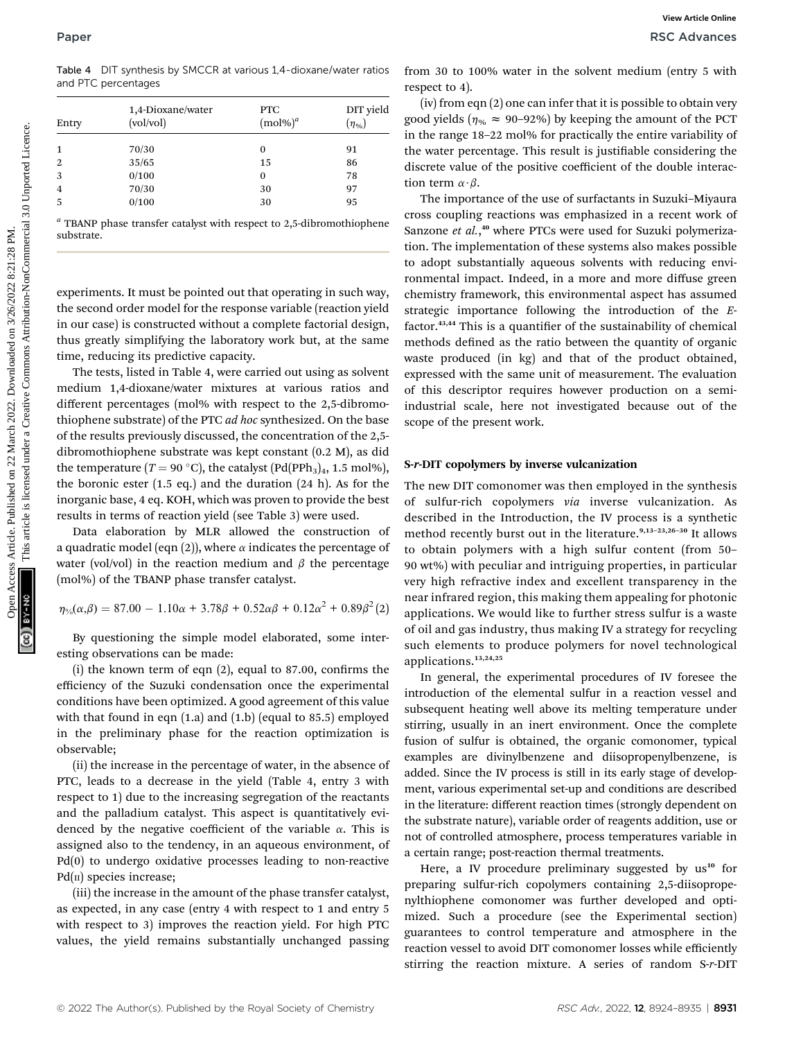Table 4 DIT synthesis by SMCCR at various 1,4-dioxane/water ratios and PTC percentages

| Entry          | 1,4-Dioxane/water<br>$\left(\frac{vol}{vol}\right)$ | <b>PTC</b><br>$(mol\%)^a$ | DIT yield<br>$(\eta_{\%})$ |
|----------------|-----------------------------------------------------|---------------------------|----------------------------|
| 1              | 70/30                                               | $\boldsymbol{0}$          | 91                         |
| $\overline{2}$ | 35/65                                               | 15                        | 86                         |
| 3              | 0/100                                               | $\bf{0}$                  | 78                         |
| 4              | 70/30                                               | 30                        | 97                         |
| 5              | 0/100                                               | 30                        | 95                         |

 $a$  TBANP phase transfer catalyst with respect to 2,5-dibromothiophene substrate.

experiments. It must be pointed out that operating in such way, the second order model for the response variable (reaction yield in our case) is constructed without a complete factorial design, thus greatly simplifying the laboratory work but, at the same time, reducing its predictive capacity.

The tests, listed in Table 4, were carried out using as solvent medium 1,4-dioxane/water mixtures at various ratios and different percentages (mol% with respect to the 2,5-dibromothiophene substrate) of the PTC ad hoc synthesized. On the base of the results previously discussed, the concentration of the 2,5 dibromothiophene substrate was kept constant (0.2 M), as did the temperature ( $T = 90 °C$ ), the catalyst (Pd(PPh<sub>3</sub>)<sub>4</sub>, 1.5 mol%), the boronic ester (1.5 eq.) and the duration (24 h). As for the inorganic base, 4 eq. KOH, which was proven to provide the best results in terms of reaction yield (see Table 3) were used.

Data elaboration by MLR allowed the construction of a quadratic model (eqn (2)), where  $\alpha$  indicates the percentage of water (vol/vol) in the reaction medium and  $\beta$  the percentage (mol%) of the TBANP phase transfer catalyst.

$$
\eta_{\%}(\alpha,\beta) = 87.00 - 1.10\alpha + 3.78\beta + 0.52\alpha\beta + 0.12\alpha^{2} + 0.89\beta^{2}(2)
$$

By questioning the simple model elaborated, some interesting observations can be made:

 $(i)$  the known term of eqn  $(2)$ , equal to 87.00, confirms the efficiency of the Suzuki condensation once the experimental conditions have been optimized. A good agreement of this value with that found in eqn (1.a) and (1.b) (equal to 85.5) employed in the preliminary phase for the reaction optimization is observable;

(ii) the increase in the percentage of water, in the absence of PTC, leads to a decrease in the yield (Table 4, entry 3 with respect to 1) due to the increasing segregation of the reactants and the palladium catalyst. This aspect is quantitatively evidenced by the negative coefficient of the variable  $\alpha$ . This is assigned also to the tendency, in an aqueous environment, of Pd(0) to undergo oxidative processes leading to non-reactive  $Pd(n)$  species increase;

(iii) the increase in the amount of the phase transfer catalyst, as expected, in any case (entry 4 with respect to 1 and entry 5 with respect to 3) improves the reaction yield. For high PTC values, the yield remains substantially unchanged passing from 30 to 100% water in the solvent medium (entry 5 with respect to 4).

(iv) from eqn (2) one can infer that it is possible to obtain very good yields ( $\eta_{\%} \approx 90-92\%$ ) by keeping the amount of the PCT in the range 18–22 mol% for practically the entire variability of the water percentage. This result is justiable considering the discrete value of the positive coefficient of the double interaction term  $\alpha \cdot \beta$ .

The importance of the use of surfactants in Suzuki–Miyaura cross coupling reactions was emphasized in a recent work of Sanzone et al.,<sup>40</sup> where PTCs were used for Suzuki polymerization. The implementation of these systems also makes possible to adopt substantially aqueous solvents with reducing environmental impact. Indeed, in a more and more diffuse green chemistry framework, this environmental aspect has assumed strategic importance following the introduction of the Efactor. $43,44$  This is a quantifier of the sustainability of chemical methods defined as the ratio between the quantity of organic waste produced (in kg) and that of the product obtained, expressed with the same unit of measurement. The evaluation of this descriptor requires however production on a semiindustrial scale, here not investigated because out of the scope of the present work. **Paper**<br> **Techniques**<br> **Techniques**<br> **Techniques**<br> **Techniques**<br> **Techniques**<br> **Techniques**<br> **Techniques**<br> **Techniques**<br> **Techniques**<br> **Techniques**<br> **Techniques**<br> **Techniques**<br> **Techniques**<br> **Techniques**<br> **Techniques**<br> **T** 

### S-r-DIT copolymers by inverse vulcanization

The new DIT comonomer was then employed in the synthesis of sulfur-rich copolymers via inverse vulcanization. As described in the Introduction, the IV process is a synthetic method recently burst out in the literature.<sup>9,13-23,26-30</sup> It allows to obtain polymers with a high sulfur content (from 50– 90 wt%) with peculiar and intriguing properties, in particular very high refractive index and excellent transparency in the near infrared region, this making them appealing for photonic applications. We would like to further stress sulfur is a waste of oil and gas industry, thus making IV a strategy for recycling such elements to produce polymers for novel technological applications.13,24,25

In general, the experimental procedures of IV foresee the introduction of the elemental sulfur in a reaction vessel and subsequent heating well above its melting temperature under stirring, usually in an inert environment. Once the complete fusion of sulfur is obtained, the organic comonomer, typical examples are divinylbenzene and diisopropenylbenzene, is added. Since the IV process is still in its early stage of development, various experimental set-up and conditions are described in the literature: different reaction times (strongly dependent on the substrate nature), variable order of reagents addition, use or not of controlled atmosphere, process temperatures variable in a certain range; post-reaction thermal treatments.

Here, a IV procedure preliminary suggested by  $us^{10}$  for preparing sulfur-rich copolymers containing 2,5-diisopropenylthiophene comonomer was further developed and optimized. Such a procedure (see the Experimental section) guarantees to control temperature and atmosphere in the reaction vessel to avoid DIT comonomer losses while efficiently stirring the reaction mixture. A series of random S-r-DIT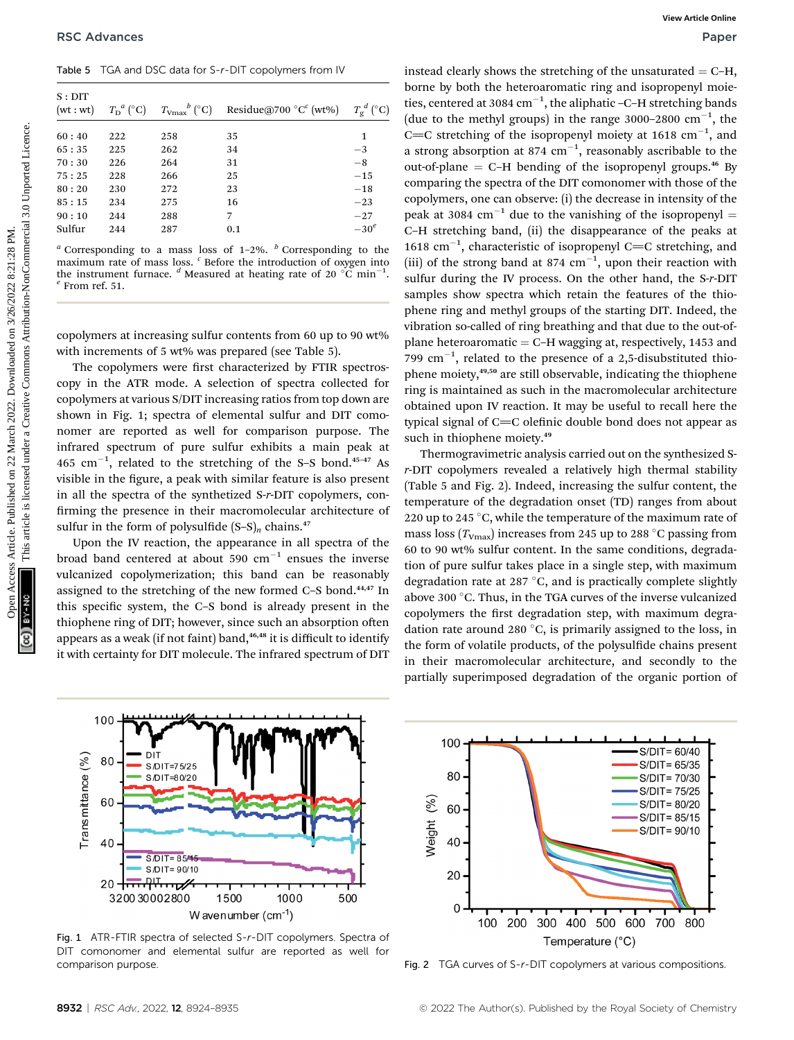Table 5 TGA and DSC data for S-r-DIT copolymers from IV

| $S:$ DIT<br>(wt:wt) | $T_{\rm D}{}^a$ (°C) | $T_{\mathrm{Vmax}}^{\qquad b}$ (°C) | Residue@700 $^{\circ}C^{c}$ (wt%) | $T_{\varrho}^{\ d}$ (°C) |
|---------------------|----------------------|-------------------------------------|-----------------------------------|--------------------------|
| 60:40               | 222                  | 258                                 | 35                                | 1                        |
| 65:35               | 225                  | 262                                 | 34                                | $^{-3}$                  |
| 70:30               | 226                  | 264                                 | 31                                | $-8$                     |
| 75:25               | 228                  | 266                                 | 25                                | $-15$                    |
| 80:20               | 230                  | 272                                 | 23                                | $-18$                    |
| 85:15               | 234                  | 275                                 | 16                                | $-23$                    |
| 90:10               | 244                  | 288                                 | 7                                 | $-27$                    |
| Sulfur              | 244                  | 287                                 | 0.1                               | $-30^e$                  |
|                     |                      |                                     |                                   |                          |

 $a$  Corresponding to a mass loss of 1-2%.  $b$  Corresponding to the maximum rate of mass loss. <sup>c</sup> Before the introduction of oxygen into the instrument furnace. <sup>*d*</sup> Measured at heating rate of 20  $\degree$ C min<sup>-1</sup>.<br><sup>*e*</sup> From ref. 51.

copolymers at increasing sulfur contents from 60 up to 90 wt% with increments of 5 wt% was prepared (see Table 5).

The copolymers were first characterized by FTIR spectroscopy in the ATR mode. A selection of spectra collected for copolymers at various S/DIT increasing ratios from top down are shown in Fig. 1; spectra of elemental sulfur and DIT comonomer are reported as well for comparison purpose. The infrared spectrum of pure sulfur exhibits a main peak at  $465 \text{ cm}^{-1}$ , related to the stretching of the S-S bond.<sup>45-47</sup> As visible in the figure, a peak with similar feature is also present in all the spectra of the synthetized S-r-DIT copolymers, con firming the presence in their macromolecular architecture of sulfur in the form of polysulfide  $(S-S)<sub>n</sub>$  chains.<sup>47</sup>

Upon the IV reaction, the appearance in all spectra of the broad band centered at about 590  $cm^{-1}$  ensues the inverse vulcanized copolymerization; this band can be reasonably assigned to the stretching of the new formed C–S bond.44,47 In this specific system, the  $C-S$  bond is already present in the thiophene ring of DIT; however, since such an absorption often appears as a weak (if not faint) band,<sup>46,48</sup> it is difficult to identify it with certainty for DIT molecule. The infrared spectrum of DIT

instead clearly shows the stretching of the unsaturated  $=$  C–H, borne by both the heteroaromatic ring and isopropenyl moieties, centered at 3084  $cm^{-1}$ , the aliphatic -C-H stretching bands (due to the methyl groups) in the range 3000-2800  $cm^{-1}$ , the C=C stretching of the isopropenyl moiety at 1618  $cm^{-1}$ , and a strong absorption at 874  $cm^{-1}$ , reasonably ascribable to the out-of-plane  $=$  C–H bending of the isopropenyl groups.<sup>46</sup> By comparing the spectra of the DIT comonomer with those of the copolymers, one can observe: (i) the decrease in intensity of the peak at 3084 cm<sup>-1</sup> due to the vanishing of the isopropenyl = C–H stretching band, (ii) the disappearance of the peaks at 1618 cm<sup>-1</sup>, characteristic of isopropenyl C=C stretching, and (iii) of the strong band at 874  $cm^{-1}$ , upon their reaction with sulfur during the IV process. On the other hand, the S-r-DIT samples show spectra which retain the features of the thiophene ring and methyl groups of the starting DIT. Indeed, the vibration so-called of ring breathing and that due to the out-ofplane heteroaromatic  $=$  C–H wagging at, respectively, 1453 and 799  $\text{cm}^{-1}$ , related to the presence of a 2,5-disubstituted thiophene moiety,49,50 are still observable, indicating the thiophene ring is maintained as such in the macromolecular architecture obtained upon IV reaction. It may be useful to recall here the typical signal of  $C=C$  olefinic double bond does not appear as such in thiophene moiety.<sup>49</sup> **PSC Advances**<br>
Table 5 TGA and DSC state 5-r-OT coptyries from W<br>
is none by hore the three-consumer of the unautrated = C-11<br>
V=1 Yev 2<sup>2</sup> C ( $T_{\text{true}}^{\text{true}}$  ( $T_{\text{true}}^{\text{true}}$  ( $T_{\text{true}}^{\text{true}}$ ) ( $T_{\text{true}}^{\text{true}}$ ) ( $T_{\text{true$ 

Thermogravimetric analysis carried out on the synthesized Sr-DIT copolymers revealed a relatively high thermal stability (Table 5 and Fig. 2). Indeed, increasing the sulfur content, the temperature of the degradation onset (TD) ranges from about 220 up to 245  $\,^{\circ}$ C, while the temperature of the maximum rate of mass loss ( $T_{\rm Vmax}$ ) increases from 245 up to 288 °C passing from 60 to 90 wt% sulfur content. In the same conditions, degradation of pure sulfur takes place in a single step, with maximum degradation rate at 287  $\mathrm{^{\circ}C},$  and is practically complete slightly above 300  $^{\circ}$ C. Thus, in the TGA curves of the inverse vulcanized copolymers the first degradation step, with maximum degradation rate around 280  $\degree$ C, is primarily assigned to the loss, in the form of volatile products, of the polysulfide chains present in their macromolecular architecture, and secondly to the partially superimposed degradation of the organic portion of



Fig. 1 ATR-FTIR spectra of selected S-r-DIT copolymers. Spectra of DIT comonomer and elemental sulfur are reported as well for comparison purpose. The comparison purpose. The compositions of S-r-DIT copolymers at various compositions.

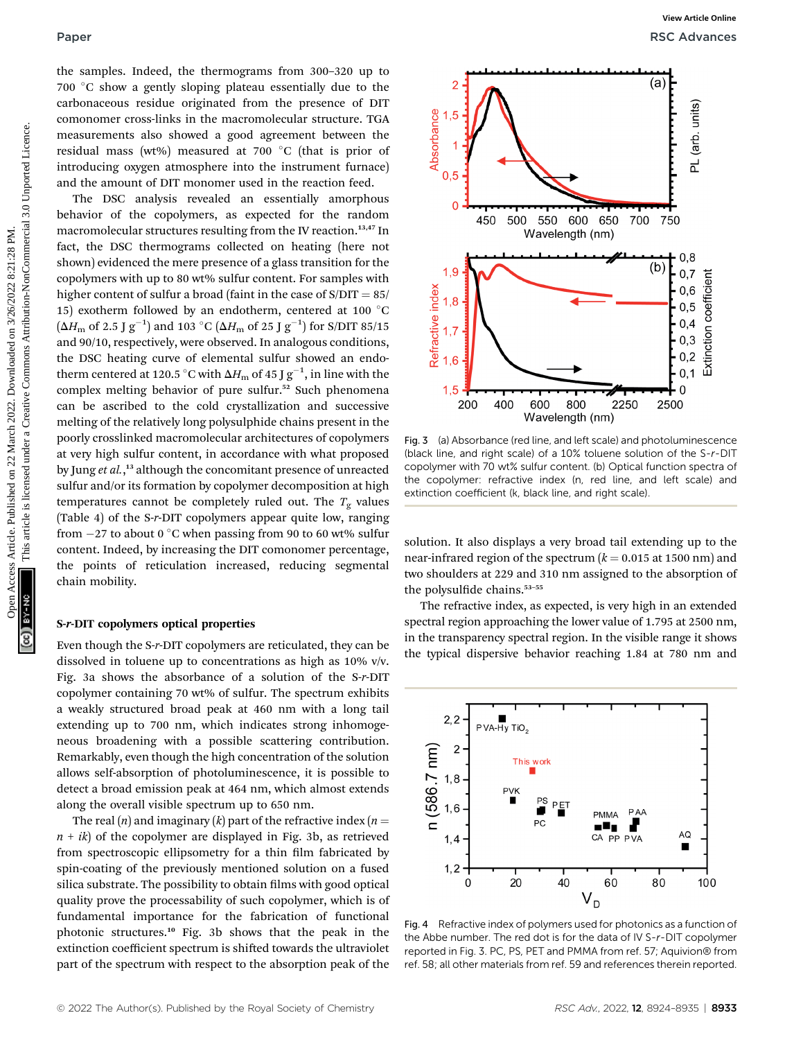the samples. Indeed, the thermograms from 300–320 up to  $700\,\mathrm{\degree C}$  show a gently sloping plateau essentially due to the carbonaceous residue originated from the presence of DIT comonomer cross-links in the macromolecular structure. TGA measurements also showed a good agreement between the residual mass (wt%) measured at 700 °C (that is prior of introducing oxygen atmosphere into the instrument furnace) and the amount of DIT monomer used in the reaction feed.

The DSC analysis revealed an essentially amorphous behavior of the copolymers, as expected for the random macromolecular structures resulting from the IV reaction.<sup>13,47</sup> In fact, the DSC thermograms collected on heating (here not shown) evidenced the mere presence of a glass transition for the copolymers with up to 80 wt% sulfur content. For samples with higher content of sulfur a broad (faint in the case of  $S/DIT = 85/$ 15) exotherm followed by an endotherm, centered at 100  $^{\circ}\mathrm{C}$  $(\Delta H_\mathrm{m}$  of 2.5 J  $\mathrm{g}^{-1})$  and 103 °C  $(\Delta H_\mathrm{m}$  of 25 J  $\mathrm{g}^{-1})$  for S/DIT 85/15 and 90/10, respectively, were observed. In analogous conditions, the DSC heating curve of elemental sulfur showed an endotherm centered at 120.5  $^{\circ}\textrm{C}$  with  $\Delta H_{\textrm{m}}$  of 45 J  $\text{g}^{-1},$  in line with the complex melting behavior of pure sulfur.<sup>52</sup> Such phenomena can be ascribed to the cold crystallization and successive melting of the relatively long polysulphide chains present in the poorly crosslinked macromolecular architectures of copolymers at very high sulfur content, in accordance with what proposed by Jung et al.,<sup>13</sup> although the concomitant presence of unreacted sulfur and/or its formation by copolymer decomposition at high temperatures cannot be completely ruled out. The  $T_{\rm g}$  values (Table 4) of the S-r-DIT copolymers appear quite low, ranging from  $-27$  to about 0  $^{\circ} \mathrm{C}$  when passing from 90 to 60 wt% sulfur content. Indeed, by increasing the DIT comonomer percentage, the points of reticulation increased, reducing segmental chain mobility. Paper<br>
Une samples. Indeed, the thermal space are considered on 22 March 2022. Downloaded a good ageometric is licensed under a creative Common and a common and a common and a common and a common and a common and a creati

### S-r-DIT copolymers optical properties

Even though the S-r-DIT copolymers are reticulated, they can be dissolved in toluene up to concentrations as high as 10% v/v. Fig. 3a shows the absorbance of a solution of the S-r-DIT copolymer containing 70 wt% of sulfur. The spectrum exhibits a weakly structured broad peak at 460 nm with a long tail extending up to 700 nm, which indicates strong inhomogeneous broadening with a possible scattering contribution. Remarkably, even though the high concentration of the solution allows self-absorption of photoluminescence, it is possible to detect a broad emission peak at 464 nm, which almost extends along the overall visible spectrum up to 650 nm.

The real  $(n)$  and imaginary  $(k)$  part of the refractive index  $(n =$  $n + i k$ ) of the copolymer are displayed in Fig. 3b, as retrieved from spectroscopic ellipsometry for a thin film fabricated by spin-coating of the previously mentioned solution on a fused silica substrate. The possibility to obtain films with good optical quality prove the processability of such copolymer, which is of fundamental importance for the fabrication of functional photonic structures.<sup>10</sup> Fig. 3b shows that the peak in the extinction coefficient spectrum is shifted towards the ultraviolet part of the spectrum with respect to the absorption peak of the



Fig. 3 (a) Absorbance (red line, and left scale) and photoluminescence (black line, and right scale) of a 10% toluene solution of the S-r-DIT copolymer with 70 wt% sulfur content. (b) Optical function spectra of the copolymer: refractive index (n, red line, and left scale) and extinction coefficient (k, black line, and right scale).

solution. It also displays a very broad tail extending up to the near-infrared region of the spectrum  $(k = 0.015$  at 1500 nm) and two shoulders at 229 and 310 nm assigned to the absorption of the polysulfide chains. $53-55$ 

The refractive index, as expected, is very high in an extended spectral region approaching the lower value of 1.795 at 2500 nm, in the transparency spectral region. In the visible range it shows the typical dispersive behavior reaching 1.84 at 780 nm and



Fig. 4 Refractive index of polymers used for photonics as a function of the Abbe number. The red dot is for the data of IV S-r-DIT copolymer reported in Fig. 3. PC, PS, PET and PMMA from ref. 57; Aquivion® from ref. 58; all other materials from ref. 59 and references therein reported.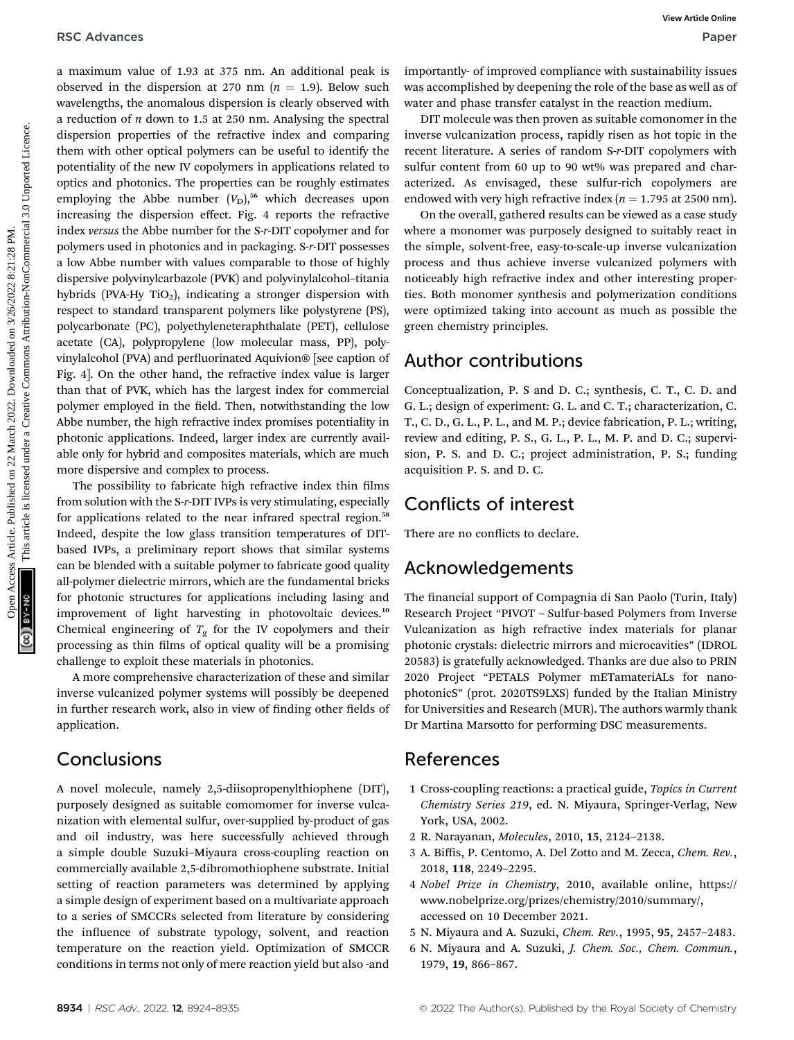a maximum value of 1.93 at 375 nm. An additional peak is observed in the dispersion at 270 nm  $(n = 1.9)$ . Below such wavelengths, the anomalous dispersion is clearly observed with a reduction of  $n$  down to 1.5 at 250 nm. Analysing the spectral dispersion properties of the refractive index and comparing them with other optical polymers can be useful to identify the potentiality of the new IV copolymers in applications related to optics and photonics. The properties can be roughly estimates employing the Abbe number  $(V<sub>D</sub>)$ <sup>56</sup> which decreases upon increasing the dispersion effect. Fig. 4 reports the refractive index versus the Abbe number for the S-r-DIT copolymer and for polymers used in photonics and in packaging. S-r-DIT possesses a low Abbe number with values comparable to those of highly dispersive polyvinylcarbazole (PVK) and polyvinylalcohol–titania hybrids (PVA-Hy TiO<sub>2</sub>), indicating a stronger dispersion with respect to standard transparent polymers like polystyrene (PS), polycarbonate (PC), polyethyleneteraphthalate (PET), cellulose acetate (CA), polypropylene (low molecular mass, PP), polyvinylalcohol (PVA) and perfluorinated Aquivion® [see caption of Fig. 4]. On the other hand, the refractive index value is larger than that of PVK, which has the largest index for commercial polymer employed in the field. Then, notwithstanding the low Abbe number, the high refractive index promises potentiality in photonic applications. Indeed, larger index are currently available only for hybrid and composites materials, which are much more dispersive and complex to process. RSC Advances Article and Access Article 2022. The maximum value of 1.9.3 at 375 nm. An additional peak is importantly of imported to principal constrained in the dispersion and 220 mm. Analysing the spectral in Ull modera

The possibility to fabricate high refractive index thin films from solution with the S-r-DIT IVPs is very stimulating, especially for applications related to the near infrared spectral region.<sup>58</sup> Indeed, despite the low glass transition temperatures of DITbased IVPs, a preliminary report shows that similar systems can be blended with a suitable polymer to fabricate good quality all-polymer dielectric mirrors, which are the fundamental bricks for photonic structures for applications including lasing and improvement of light harvesting in photovoltaic devices.<sup>10</sup> Chemical engineering of  $T_g$  for the IV copolymers and their processing as thin films of optical quality will be a promising challenge to exploit these materials in photonics.

A more comprehensive characterization of these and similar inverse vulcanized polymer systems will possibly be deepened in further research work, also in view of finding other fields of application.

## **Conclusions**

A novel molecule, namely 2,5-diisopropenylthiophene (DIT), purposely designed as suitable comomomer for inverse vulcanization with elemental sulfur, over-supplied by-product of gas and oil industry, was here successfully achieved through a simple double Suzuki–Miyaura cross-coupling reaction on commercially available 2,5-dibromothiophene substrate. Initial setting of reaction parameters was determined by applying a simple design of experiment based on a multivariate approach to a series of SMCCRs selected from literature by considering the influence of substrate typology, solvent, and reaction temperature on the reaction yield. Optimization of SMCCR conditions in terms not only of mere reaction yield but also -and

importantly- of improved compliance with sustainability issues was accomplished by deepening the role of the base as well as of water and phase transfer catalyst in the reaction medium.

DIT molecule was then proven as suitable comonomer in the inverse vulcanization process, rapidly risen as hot topic in the recent literature. A series of random S-r-DIT copolymers with sulfur content from 60 up to 90 wt% was prepared and characterized. As envisaged, these sulfur-rich copolymers are endowed with very high refractive index ( $n = 1.795$  at 2500 nm).

On the overall, gathered results can be viewed as a case study where a monomer was purposely designed to suitably react in the simple, solvent-free, easy-to-scale-up inverse vulcanization process and thus achieve inverse vulcanized polymers with noticeably high refractive index and other interesting properties. Both monomer synthesis and polymerization conditions were optimized taking into account as much as possible the green chemistry principles.

### Author contributions

Conceptualization, P. S and D. C.; synthesis, C. T., C. D. and G. L.; design of experiment: G. L. and C. T.; characterization, C. T., C. D., G. L., P. L., and M. P.; device fabrication, P. L.; writing, review and editing, P. S., G. L., P. L., M. P. and D. C.; supervision, P. S. and D. C.; project administration, P. S.; funding acquisition P. S. and D. C.

## Conflicts of interest

There are no conflicts to declare.

## Acknowledgements

The financial support of Compagnia di San Paolo (Turin, Italy) Research Project "PIVOT – Sulfur-based Polymers from Inverse Vulcanization as high refractive index materials for planar photonic crystals: dielectric mirrors and microcavities" (IDROL 20583) is gratefully acknowledged. Thanks are due also to PRIN 2020 Project "PETALS Polymer mETamateriALs for nanophotonicS" (prot. 2020TS9LXS) funded by the Italian Ministry for Universities and Research (MUR). The authors warmly thank Dr Martina Marsotto for performing DSC measurements.

### References

- 1 Cross-coupling reactions: a practical guide, Topics in Current Chemistry Series 219, ed. N. Miyaura, Springer-Verlag, New York, USA, 2002.
- 2 R. Narayanan, Molecules, 2010, 15, 2124–2138.
- 3 A. Biffis, P. Centomo, A. Del Zotto and M. Zecca, Chem. Rev., 2018, 118, 2249–2295.
- 4 Nobel Prize in Chemistry, 2010, available online, https:// www.nobelprize.org/prizes/chemistry/2010/summary/, accessed on 10 December 2021.
- 5 N. Miyaura and A. Suzuki, Chem. Rev., 1995, 95, 2457–2483.
- 6 N. Miyaura and A. Suzuki, J. Chem. Soc., Chem. Commun., 1979, 19, 866–867.